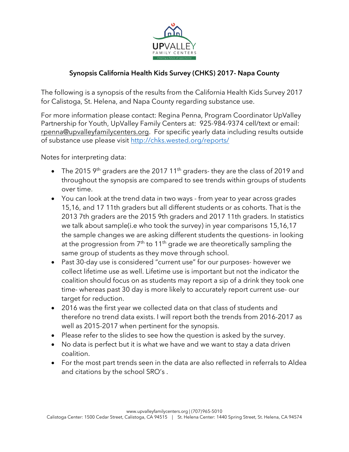

The following is a synopsis of the results from the California Health Kids Survey 2017 for Calistoga, St. Helena, and Napa County regarding substance use.

For more information please contact: Regina Penna, Program Coordinator UpValley Partnership for Youth, UpValley Family Centers at: 925-984-9374 cell/text or email: [rpenna@upvalleyfamilycenters.org.](mailto:rpenna@upvalleyfamilycenters.org) For specific yearly data including results outside of substance use please visit<http://chks.wested.org/reports/>

Notes for interpreting data:

- The 2015  $9<sup>th</sup>$  graders are the 2017 11<sup>th</sup> graders- they are the class of 2019 and throughout the synopsis are compared to see trends within groups of students over time.
- You can look at the trend data in two ways from year to year across grades 15,16, and 17 11th graders but all different students or as cohorts. That is the 2013 7th graders are the 2015 9th graders and 2017 11th graders. In statistics we talk about sample(i.e who took the survey) in year comparisons 15,16,17 the sample changes we are asking different students the questions- in looking at the progression from  $7<sup>th</sup>$  to 11<sup>th</sup> grade we are theoretically sampling the same group of students as they move through school.
- Past 30-day use is considered "current use" for our purposes- however we collect lifetime use as well. Lifetime use is important but not the indicator the coalition should focus on as students may report a sip of a drink they took one time- whereas past 30 day is more likely to accurately report current use- our target for reduction.
- 2016 was the first year we collected data on that class of students and therefore no trend data exists. I will report both the trends from 2016-2017 as well as 2015-2017 when pertinent for the synopsis.
- Please refer to the slides to see how the question is asked by the survey.
- No data is perfect but it is what we have and we want to stay a data driven coalition.
- For the most part trends seen in the data are also reflected in referrals to Aldea and citations by the school SRO's .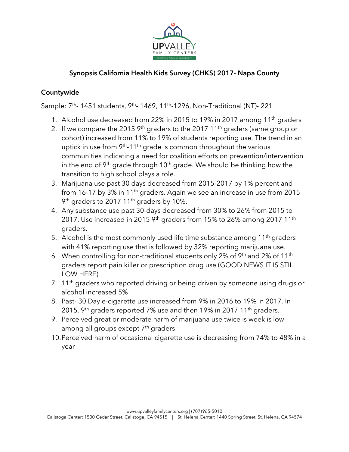

#### Countywide

Sample: 7<sup>th</sup>- 1451 students, 9<sup>th</sup>- 1469, 11<sup>th</sup>-1296, Non-Traditional (NT)- 221

- 1. Alcohol use decreased from 22% in 2015 to 19% in 2017 among 11<sup>th</sup> graders
- 2. If we compare the 2015  $9<sup>th</sup>$  graders to the 2017 11<sup>th</sup> graders (same group or cohort) increased from 11% to 19% of students reporting use. The trend in an uptick in use from  $9<sup>th</sup>$ -11<sup>th</sup> grade is common throughout the various communities indicating a need for coalition efforts on prevention/intervention in the end of  $9<sup>th</sup>$  grade through 10<sup>th</sup> grade. We should be thinking how the transition to high school plays a role.
- 3. Marijuana use past 30 days decreased from 2015-2017 by 1% percent and from 16-17 by 3% in 11<sup>th</sup> graders. Again we see an increase in use from 2015 9<sup>th</sup> graders to 2017 11<sup>th</sup> graders by 10%.
- 4. Any substance use past 30-days decreased from 30% to 26% from 2015 to 2017. Use increased in 2015 9<sup>th</sup> graders from 15% to 26% among 2017 11<sup>th</sup> graders.
- 5. Alcohol is the most commonly used life time substance among  $11<sup>th</sup>$  graders with 41% reporting use that is followed by 32% reporting marijuana use.
- 6. When controlling for non-traditional students only 2% of  $9<sup>th</sup>$  and 2% of 11<sup>th</sup> graders report pain killer or prescription drug use (GOOD NEWS IT IS STILL LOW HERE)
- 7. 11<sup>th</sup> graders who reported driving or being driven by someone using drugs or alcohol increased 5%
- 8. Past- 30 Day e-cigarette use increased from 9% in 2016 to 19% in 2017. In 2015, 9<sup>th</sup> graders reported 7% use and then 19% in 2017 11<sup>th</sup> graders.
- 9. Perceived great or moderate harm of marijuana use twice is week is low among all groups except 7<sup>th</sup> graders
- 10.Perceived harm of occasional cigarette use is decreasing from 74% to 48% in a year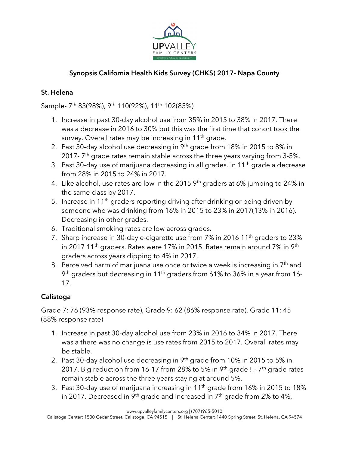

### St. Helena

Sample- 7<sup>th</sup> 83(98%), 9<sup>th</sup> 110(92%), 11<sup>th</sup> 102(85%)

- 1. Increase in past 30-day alcohol use from 35% in 2015 to 38% in 2017. There was a decrease in 2016 to 30% but this was the first time that cohort took the survey. Overall rates may be increasing in 11<sup>th</sup> grade.
- 2. Past 30-day alcohol use decreasing in 9<sup>th</sup> grade from 18% in 2015 to 8% in 2017-  $7<sup>th</sup>$  grade rates remain stable across the three years varying from 3-5%.
- 3. Past 30-day use of marijuana decreasing in all grades. In  $11<sup>th</sup>$  grade a decrease from 28% in 2015 to 24% in 2017.
- 4. Like alcohol, use rates are low in the 2015  $9<sup>th</sup>$  graders at 6% jumping to 24% in the same class by 2017.
- 5. Increase in 11<sup>th</sup> graders reporting driving after drinking or being driven by someone who was drinking from 16% in 2015 to 23% in 2017(13% in 2016). Decreasing in other grades.
- 6. Traditional smoking rates are low across grades.
- 7. Sharp increase in 30-day e-cigarette use from 7% in 2016 11<sup>th</sup> graders to 23% in 2017 11<sup>th</sup> graders. Rates were 17% in 2015. Rates remain around 7% in 9<sup>th</sup> graders across years dipping to 4% in 2017.
- 8. Perceived harm of marijuana use once or twice a week is increasing in  $7<sup>th</sup>$  and 9<sup>th</sup> graders but decreasing in 11<sup>th</sup> graders from 61% to 36% in a year from 16-17.

## Calistoga

Grade 7: 76 (93% response rate), Grade 9: 62 (86% response rate), Grade 11: 45 (88% response rate)

- 1. Increase in past 30-day alcohol use from 23% in 2016 to 34% in 2017. There was a there was no change is use rates from 2015 to 2017. Overall rates may be stable.
- 2. Past 30-day alcohol use decreasing in 9<sup>th</sup> grade from 10% in 2015 to 5% in 2017. Big reduction from 16-17 from 28% to 5% in 9<sup>th</sup> grade !!- 7<sup>th</sup> grade rates remain stable across the three years staying at around 5%.
- 3. Past 30-day use of marijuana increasing in 11<sup>th</sup> grade from 16% in 2015 to 18% in 2017. Decreased in 9<sup>th</sup> grade and increased in  $7<sup>th</sup>$  grade from 2% to 4%.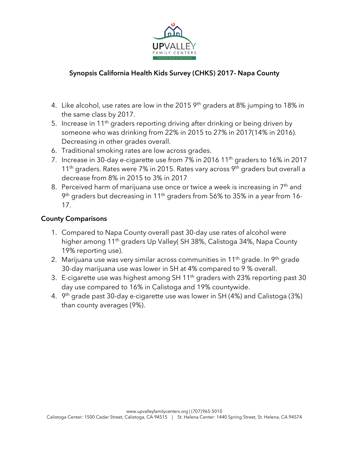

- 4. Like alcohol, use rates are low in the 2015  $9<sup>th</sup>$  graders at 8% jumping to 18% in the same class by 2017.
- 5. Increase in 11<sup>th</sup> graders reporting driving after drinking or being driven by someone who was drinking from 22% in 2015 to 27% in 2017(14% in 2016). Decreasing in other grades overall.
- 6. Traditional smoking rates are low across grades.
- 7. Increase in 30-day e-cigarette use from 7% in 2016 11<sup>th</sup> graders to 16% in 2017  $11<sup>th</sup>$  graders. Rates were 7% in 2015. Rates vary across 9<sup>th</sup> graders but overall a decrease from 8% in 2015 to 3% in 2017
- 8. Perceived harm of marijuana use once or twice a week is increasing in  $7<sup>th</sup>$  and 9<sup>th</sup> graders but decreasing in 11<sup>th</sup> graders from 56% to 35% in a year from 16-17.

#### County Comparisons

- 1. Compared to Napa County overall past 30-day use rates of alcohol were higher among 11<sup>th</sup> graders Up Valley( SH 38%, Calistoga 34%, Napa County 19% reporting use).
- 2. Marijuana use was very similar across communities in 11<sup>th</sup> grade. In 9<sup>th</sup> grade 30-day marijuana use was lower in SH at 4% compared to 9 % overall.
- 3. E-cigarette use was highest among SH 11<sup>th</sup> graders with 23% reporting past 30 day use compared to 16% in Calistoga and 19% countywide.
- 4.  $9<sup>th</sup>$  grade past 30-day e-cigarette use was lower in SH (4%) and Calistoga (3%) than county averages (9%).